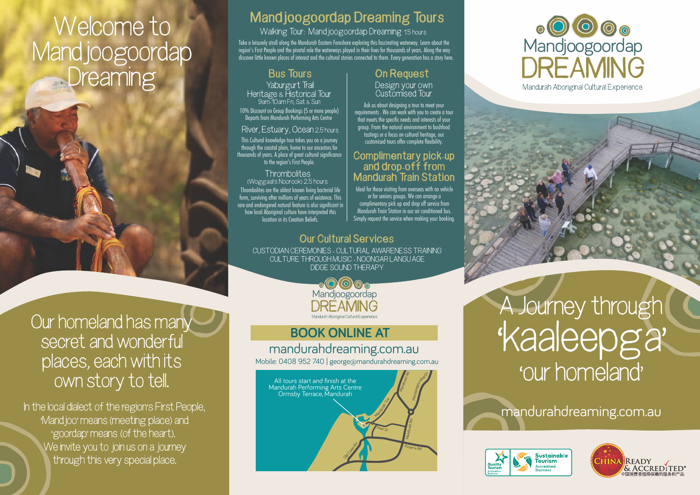# **Welcome to Mandjoogoordap Dreaming**

**Our homeland has many secret and wonderful places, each with its own story to tell.**

**In the local dialect of the region's First People, 'Mandjoo' means (meeting place) and 'goordap' means (of the heart). We invite you to join us on a journey through this very special place.**

#### **Mandjoogoordap Dreaming Tours**

**Walking Tour: Mandjoogoordap Dreaming 1.5 hours**

Take a leisurely stroll along the Mandurah Eastern Foreshore exploring this fascinating waterway. Learn about the region's First People and the pivotal role the waterways played in their lives for thousands of years. Along the way discover little known places of interest and the cultural stories connected to them. Every generation has a story here.

#### **Yaburgurt Trail Heritage & Historical Tour**

**9am-1Oam Fri, Sat & Sun** 10% Discount on Group Bookings (5 or more people)

Departs from Mandurah Performing Arts Centre

#### **River, Estuary, Ocean 2.5 hours**

This Cultural knowledge tour takes you on a journey through the coastal plain, home to our ancestors for thousands of years. A place of great cultural significance to the region's First People.

#### **Thrombolites**

**(Woggaal's Noorook) 2.5 hours** Thrombolites are the oldest known living bacterial life form, surviving after millions of years of existence. This rare and endangered natural feature is also significant in how local Aboriginal culture have interpreted this location in its Creation Beliefs.

#### **Bus Tours On Request**

**Design your own Customised Tour** 

Ask us about designing a tour to meet your requirements . We can work with you to create a tour that meets the specific needs and interests of your group. From the natural environment to bushfood tastings or a focus on cultural heritage, our customised tours offer complete flexibility.

#### **Complimentary pick-up and drop-off from Mandurah Train Station**

Ideal for those visiting from overseas with no vehicle or for seniors groups. We can arrange a complimentary pick up and drop off service from Mandurah Train Station in our air conditioned bus. Simply request the service when making your booking.

#### **Our Cultural Services**

**CUSTODIAN CEREMONIES - CULTURAL AWARENESS TRAINING CULTURE THROUGH MUSIC - NOONGAR LANGUAGE DIDGE SOUND THERAPY**



#### mandurahdreaming.com.au **BOOK ONLINE AT**

Mobile: 0408 952 740 | george@mandurahdreaming.com.au



# o O O <sub>O</sub><br>Mandjoogoordap Mandurah Aboriginal Cultural Experience



mandurahdreaming.com.au